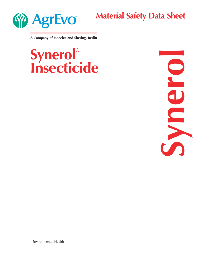

**Material Safety Data Sheet**

**A Company of Hoechst and Shering, Berlin**

# **Synerol® Insecticide**



Environmental Health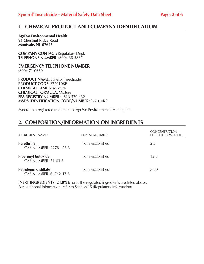## **1. CHEMICAL PRODUCT AND COMPANY IDENTIFICATION**

**AgrEvo Environmental Health 95 Chestnut Ridge Road Montvale, NJ 07645**

**COMPANY CONTACT:** Regulatory Dept. **TELEPHONE NUMBER:** (800)438-5837

**EMERGENCY TELEPHONE NUMBER** (800)471-0660

**PRODUCT NAME:** Synerol Insecticide **PRODUCT CODE:** E72010KF **CHEMICAL FAMILY:** Mixture **CHEMICAL FORMULA:** Mixture **EPA REGISTRY NUMBER:** 4816-570-432 **MSDS IDENTIFICATION CODE/NUMBER:** E72010KF

Synerol is a registered trademark of AgrEvo Environmental Health, Inc.

# **2. COMPOSITION/INFORMATION ON INGREDIENTS**

| <b>INGREDIENT NAME:</b>                                 | EXPOSURE LIMITS: | <b>CONCENTRATION</b><br>PERCENT BY WEIGHT: |
|---------------------------------------------------------|------------------|--------------------------------------------|
| <b>Pyrethrins</b><br>CAS NUMBER: 22781-23-3             | None established | 2.5                                        |
| <b>Piperonyl butoxide</b><br><b>CAS NUMBER: 51-03-6</b> | None established | 12.5                                       |
| <b>Petroleum distillate</b><br>CAS NUMBER: 64742-47-8   | None established | > 80                                       |

**INERT INGREDIENTS (24.0%):** only the regulated ingredients are listed above. For additional information, refer to Section 15 (Regulatory Information).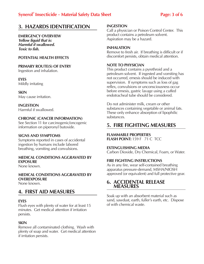## **Synerol® Insecticide - Material Safety Data Sheet Page: 3 of 6**

# **3. HAZARDS IDENTIFICATION**

**EMERGENCY OVERVIEW Yellow liquid that is: Harmful if swallowed. Toxic to fish.** 

## **POTENTIAL HEALTH EFFECTS**

**PRIMARY ROUTE(S) OF ENTRY** Ingestion and inhalation.

**EYES** Mildly irritating

**SKIN** May cause irritation.

**INGESTION** Harmful if swallowed.

## **CHRONIC (CANCER INFORMATION)**

See Section 11 for carcinogenic/oncogenic information on piperonyl butoxide.

## **SIGNS AND SYMPTOMS**

Symptoms reported in cases of accidental ingestion by humans include labored breathing, vomiting and convulsions.

## **MEDICAL CONDITIONS AGGRAVATED BY EXPOSURE**

None known.

**MEDICAL CONDITIONS AGGRAVATED BY OVEREXPOSURE**

None known.

## **4. FIRST AID MEASURES**

## **EYES**

Flush eyes with plenty of water for at least 15 minutes. Get medical attention if irritation persists.

## **SKIN**

Remove all contaminated clothing. Wash with plenty of soap and water. Get medical attention if irritation persists.

#### **INGESTION**

Call a physician or Poison Control Center. This product contains a petroleum solvent. Aspiration may be a hazard.

## **INHALATION**

Remove to fresh air. If breathing is difficult or if discomfort persists, obtain medical attention.

## **NOTE TO PHYSICIAN**

This product contains a pyrethroid and a petroleum solvent. If ingested and vomiting has not occurred, emesis should be induced with supervision. If symptoms such as loss of gag reflex, convulsions or unconsciousness occur before emesis, gastric lavage using a cuffed endotracheal tube should be considered.

Do not administer milk, cream or other substances containing vegetable or animal fats. These only enhance absorption of lipophilic substances.

## **5. FIRE FIGHTING MEASURES**

## **FLAMMABLE PROPERTIES**

**FLASH POINT: 159 F 71 C TCC** 

## **EXTINGUISHING MEDIA**

Carbon Dioxide, Dry Chemical, Foam, or Water.

## **FIRE FIGHTING INSTRUCTIONS**

As in any fire, wear self-contained breathing apparatus pressure-demand, MSHA/NIOSH approved (or equivalent) and full protective gear.

## **6. ACCIDENTAL RELEASE MEASURES**

Soak up with an absorbent material such as sand, sawdust, earth, fuller's earth, etc. Dispose of with chemical waste.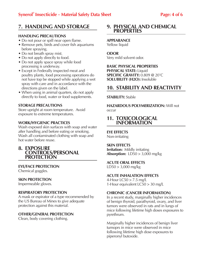# **7. HANDLING AND STORAGE**

## **HANDLING PRECAUTIONS**

- Do not pour or spill near open flame.
- Remove pets, birds and cover fish aquariums before spraying.
- Do not breath spray mist.
- Do not apply directly to food.
- Do not apply space spray while food processing is underway.
- Except in Federally inspected meat and poultry plants, food processing operations do not have top be stopped while applying a wet spray with care and in accordance with the directions given on the label.
- When using in animal quarters, do not apply directly to food, water or food supplements.

## **STORAGE PRECAUTIONS**

Store upright at room temperature. Avoid exposure to extreme temperatures.

## **WORK/HYGIENIC PRACTICES**

Wash exposed skin surfaces with soap and water after handling and before eating or smoking. Wash all contaminated clothing with soap and hot water before reuse.

## **8. EXPOSURE CONTROLS/PERSONAL PROTECTION**

## **EYE/FACE PROTECTION**

Chemical goggles.

## **SKIN PROTECTION**

Impermeable gloves.

## **RESPIRATORY PROTECTION**

A mask or espirator of a type recommended by the US Bureau of Mines to give adequate protection against this material.

## **OTHER/GENERAL PROTECTION**

Clean, body covering clothing.

## **9. PHYSICAL AND CHEMICAL PROPERTIES**

## **APPEARANCE**

Yellow liquid

## **ODOR**

Very mild solvent odor.

**BASIC PHYSICAL PROPERTIES PHYSICAL STATE:** Liquid **SPECIFIC GRAVITY:** 0.809 @ 20¯C **SOLUBILITY (H2O):** Insoluble

## **10. STABILITY AND REACTIVITY**

## **STABILITY:** Stable

**HAZARDOUS POLYMERIZATION:** Will not occur

## **11. TOXICOLOGICAL INFORMATION**

**EYE EFFECTS**

Non-irritating

## **SKIN EFFECTS**

**Irritation:** Mildly irritating **Absorption:** LD50 > 3,000 mg/kg

## **ACUTE ORAL EFFECTS**

 $LD50 > 3,000$  mg/kg

## **ACUTE INHALATION EFFECTS**

4-Hour LC50 > 7.5 mg/L 1-Hour equivalent LC50 > 30 mg/L

## **CHRONIC (CANCER INFORMATION)**

In a recent study, marginally higher incidences of benign thyroid, parathyroid, ovary, and liver tumors were observed in rats and in lungs of mice following lifetime high doses exposures to pyrethrum.

Marginally higher incidences of benign liver tumoprs in mice were observed in mice following lifetime high dose exposures to piperonyl butoxide.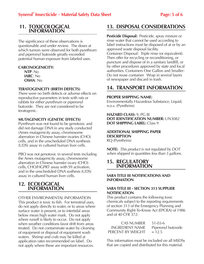## **11. TOXICOLOGICAL INFORMATION**

The significance of these observations is questionable and under review. The doses at which tumors were observed for both pyrethrum and piperonyl butoxide greatly exceeded potential human exposure from labeled uses.

## **CARCINOGENICITY:**

**NTP**: No **IARC**: No **OSHA**: No

## **TERATOGENICITY (BIRTH DEFECTS)**

There were no birth defects or adverse effects on reproductive parameters in tests with rats or rabbits for either pyrethrum or piperonyl butoxide. They are not considered to be teratogenic.

## **MUTAGENICITY (GENETIC EFFECTS)**

Pyrethrum was not found to be genotoxic and did not damage DNA in any study conducted (Ames mutagenicity assay, chromosome aberration in Chinese hamster ovaries (CHO) cells, and in the unscheduled DNA synthesis (UDS) assay in cultured human liver cells.

PBO was not genotoxic in several tests including the Ames mutagenicity assay, chromosome aberration in Chinese hamster ovary (CHO) cells, CHO/HGPRT assay with S9 activation, and in the unscheduled DNA systhesis (UDS) assay in cultured human liver cells.

## **12. ECOLOGICAL INFORMATION**

OTHER ENVIRONMENTAL INFORMATION This product is toxic to fish. For terrestrial uses, do not apply directly to water, or to areas where surface water is present, or to intertidal areas below mean high water mark. Do not apply where runoff is likely to occur. Do not apply when weather conditions favor drift from areas treated. Do not contaminate water by cleaning of equipment or disposal of equipment wash waters. Shrimp and crab may be killed at application rates recommended on label. Do not apply where these are important resources.

# **13. DISPOSAL CONSIDERATIONS**

**Pesticide Disposal:** Pesticide, spray mixture or rinse water that cannot be used according to label instructions must be disposed of at or by an approved waste disposal facility. Container Disposal: Triple rinse (or equivalent). Then offer for recycling or reconditioning, or puncture and dispose of in a sanitary landfill, or by other procedures approved by state and local authorities. Containers One Gallon and Smaller: Do not reuse container. Wrap in several layers of newspaper and discard in trash.

# **14. TRANSPORT INFORMATION**

## **PROPER SHIPPING NAME:**

Environmentally Hazardous Substance, Liquid, n.o.s. (Pyrethrins)

**HAZARD CLASS:** 9, PG III **DOT IDENTIFICATION NUMBER:** UN3082 **DOT SHIPPING LABEL:** Class 9

#### **ADDITIONAL SHIPPING PAPER DESCRIPTION** RQ (Pyrethrins)

**NOTE:** This product is not regulated by DOT when shipped in quantities less than 5 gallons.

## **15. REGULATORY INFORMATION**

## **SARA TITLE III NOTIFICATIONS AND INFORMATION**

## **SARA TITLE III - SECTION 313 SUPPLIER NOTIFICATION**

This product contains the following toxic chemicals subject to the reporting requirements of section 313 of the Emergency Planning and Community Right-To-Know Act (EPCRA) of 1986 and of 40 CFR 372:

| <b>CAS NUMBER</b>      | $51 - 03 - 6$      |
|------------------------|--------------------|
| <b>INGREDIENT NAME</b> | Piperonyl butoxide |
| PERCENT BY WEIGHT      | $= 12.5$           |

This information must be included on all MSDSs that are copied and distributed for this material.